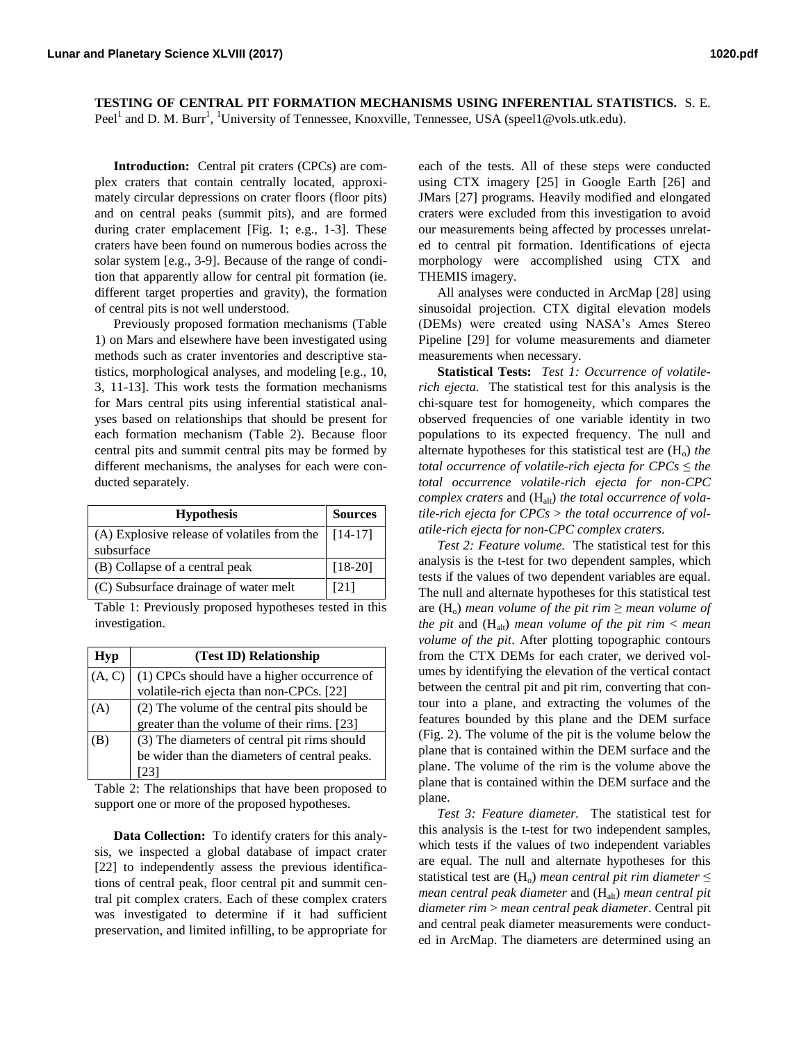**TESTING OF CENTRAL PIT FORMATION MECHANISMS USING INFERENTIAL STATISTICS.** S. E. Peel<sup>1</sup> and D. M. Burr<sup>1</sup>, <sup>1</sup>University of Tennessee, Knoxville, Tennessee, USA (speel1@vols.utk.edu).

**Introduction:** Central pit craters (CPCs) are complex craters that contain centrally located, approximately circular depressions on crater floors (floor pits) and on central peaks (summit pits), and are formed during crater emplacement [Fig. 1; e.g., 1-3]. These craters have been found on numerous bodies across the solar system [e.g., 3-9]. Because of the range of condition that apparently allow for central pit formation (ie. different target properties and gravity), the formation of central pits is not well understood.

Previously proposed formation mechanisms (Table 1) on Mars and elsewhere have been investigated using methods such as crater inventories and descriptive statistics, morphological analyses, and modeling [e.g., 10, 3, 11-13]. This work tests the formation mechanisms for Mars central pits using inferential statistical analyses based on relationships that should be present for each formation mechanism (Table 2). Because floor central pits and summit central pits may be formed by different mechanisms, the analyses for each were conducted separately.

| <b>Hypothesis</b>                                                         | <b>Sources</b> |
|---------------------------------------------------------------------------|----------------|
| (A) Explosive release of volatiles from the $\vert$ [14-17]<br>subsurface |                |
| (B) Collapse of a central peak                                            | $[18-20]$      |
| (C) Subsurface drainage of water melt                                     | [21]           |

Table 1: Previously proposed hypotheses tested in this investigation.

| Hyp    | (Test ID) Relationship                        |
|--------|-----------------------------------------------|
| (A, C) | (1) CPCs should have a higher occurrence of   |
|        | volatile-rich ejecta than non-CPCs. [22]      |
|        | (2) The volume of the central pits should be  |
|        | greater than the volume of their rims. [23]   |
|        | (3) The diameters of central pit rims should  |
|        | be wider than the diameters of central peaks. |
|        |                                               |

Table 2: The relationships that have been proposed to support one or more of the proposed hypotheses.

**Data Collection:** To identify craters for this analysis, we inspected a global database of impact crater [22] to independently assess the previous identifications of central peak, floor central pit and summit central pit complex craters. Each of these complex craters was investigated to determine if it had sufficient preservation, and limited infilling, to be appropriate for each of the tests. All of these steps were conducted using CTX imagery [25] in Google Earth [26] and JMars [27] programs. Heavily modified and elongated craters were excluded from this investigation to avoid our measurements being affected by processes unrelated to central pit formation. Identifications of ejecta morphology were accomplished using CTX and THEMIS imagery.

All analyses were conducted in ArcMap [28] using sinusoidal projection. CTX digital elevation models (DEMs) were created using NASA's Ames Stereo Pipeline [29] for volume measurements and diameter measurements when necessary.

**Statistical Tests:** *Test 1: Occurrence of volatilerich ejecta.* The statistical test for this analysis is the chi-square test for homogeneity, which compares the observed frequencies of one variable identity in two populations to its expected frequency. The null and alternate hypotheses for this statistical test are  $(H<sub>o</sub>)$  *the total occurrence of volatile-rich ejecta for*  $CPCs \leq the$ *total occurrence volatile-rich ejecta for non-CPC complex craters and (H<sub>alt</sub>) the total occurrence of volatile-rich ejecta for CPCs* > *the total occurrence of volatile-rich ejecta for non-CPC complex craters*.

*Test 2: Feature volume.* The statistical test for this analysis is the t-test for two dependent samples, which tests if the values of two dependent variables are equal. The null and alternate hypotheses for this statistical test are  $(H_0)$  *mean volume of the pit rim*  $\geq$  *mean volume of the pit* and  $(H_{alt})$  *mean volume of the pit rim*  $\lt$  *mean volume of the pit*. After plotting topographic contours from the CTX DEMs for each crater, we derived volumes by identifying the elevation of the vertical contact between the central pit and pit rim, converting that contour into a plane, and extracting the volumes of the features bounded by this plane and the DEM surface (Fig. 2). The volume of the pit is the volume below the plane that is contained within the DEM surface and the plane. The volume of the rim is the volume above the plane that is contained within the DEM surface and the plane.

*Test 3: Feature diameter.* The statistical test for this analysis is the t-test for two independent samples, which tests if the values of two independent variables are equal. The null and alternate hypotheses for this statistical test are  $(H_0)$  *mean central pit rim diameter*  $\leq$ *mean central peak diameter* and (H<sub>alt</sub>) *mean central pit diameter rim* > *mean central peak diameter*. Central pit and central peak diameter measurements were conducted in ArcMap. The diameters are determined using an